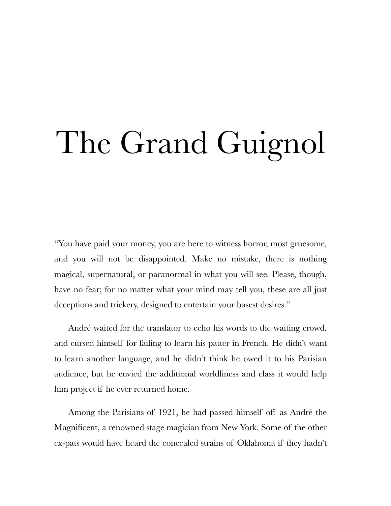## The Grand Guignol

"You have paid your money, you are here to witness horror, most gruesome, and you will not be disappointed. Make no mistake, there is nothing magical, supernatural, or paranormal in what you will see. Please, though, have no fear; for no matter what your mind may tell you, these are all just deceptions and trickery, designed to entertain your basest desires."

André waited for the translator to echo his words to the waiting crowd, and cursed himself for failing to learn his patter in French. He didn't want to learn another language, and he didn't think he owed it to his Parisian audience, but he envied the additional worldliness and class it would help him project if he ever returned home.

Among the Parisians of 1921, he had passed himself off as André the Magnificent, a renowned stage magician from New York. Some of the other ex-pats would have heard the concealed strains of Oklahoma if they hadn't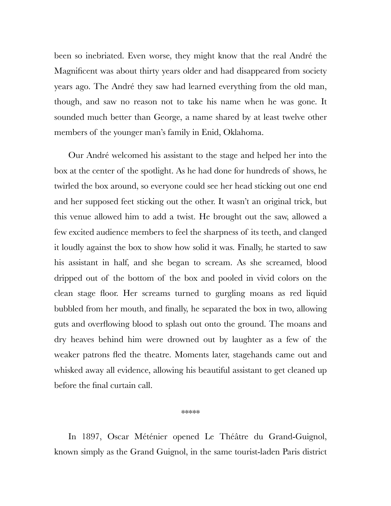been so inebriated. Even worse, they might know that the real André the Magnificent was about thirty years older and had disappeared from society years ago. The André they saw had learned everything from the old man, though, and saw no reason not to take his name when he was gone. It sounded much better than George, a name shared by at least twelve other members of the younger man's family in Enid, Oklahoma.

Our André welcomed his assistant to the stage and helped her into the box at the center of the spotlight. As he had done for hundreds of shows, he twirled the box around, so everyone could see her head sticking out one end and her supposed feet sticking out the other. It wasn't an original trick, but this venue allowed him to add a twist. He brought out the saw, allowed a few excited audience members to feel the sharpness of its teeth, and clanged it loudly against the box to show how solid it was. Finally, he started to saw his assistant in half, and she began to scream. As she screamed, blood dripped out of the bottom of the box and pooled in vivid colors on the clean stage floor. Her screams turned to gurgling moans as red liquid bubbled from her mouth, and finally, he separated the box in two, allowing guts and overflowing blood to splash out onto the ground. The moans and dry heaves behind him were drowned out by laughter as a few of the weaker patrons fled the theatre. Moments later, stagehands came out and whisked away all evidence, allowing his beautiful assistant to get cleaned up before the final curtain call.

## \*\*\*\*\*

In 1897, Oscar Méténier opened Le Théâtre du Grand-Guignol, known simply as the Grand Guignol, in the same tourist-laden Paris district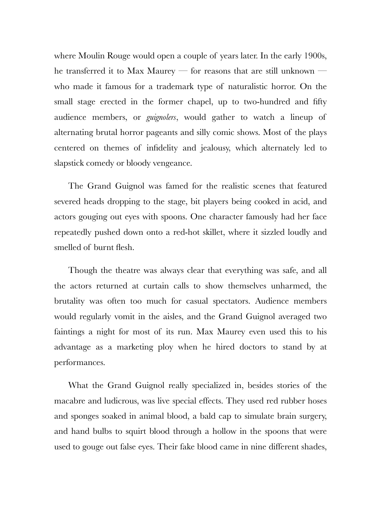where Moulin Rouge would open a couple of years later. In the early 1900s, he transferred it to Max Maurey — for reasons that are still unknown who made it famous for a trademark type of naturalistic horror. On the small stage erected in the former chapel, up to two-hundred and fifty audience members, or *guignolers*, would gather to watch a lineup of alternating brutal horror pageants and silly comic shows. Most of the plays centered on themes of infidelity and jealousy, which alternately led to slapstick comedy or bloody vengeance.

The Grand Guignol was famed for the realistic scenes that featured severed heads dropping to the stage, bit players being cooked in acid, and actors gouging out eyes with spoons. One character famously had her face repeatedly pushed down onto a red-hot skillet, where it sizzled loudly and smelled of burnt flesh.

Though the theatre was always clear that everything was safe, and all the actors returned at curtain calls to show themselves unharmed, the brutality was often too much for casual spectators. Audience members would regularly vomit in the aisles, and the Grand Guignol averaged two faintings a night for most of its run. Max Maurey even used this to his advantage as a marketing ploy when he hired doctors to stand by at performances.

What the Grand Guignol really specialized in, besides stories of the macabre and ludicrous, was live special effects. They used red rubber hoses and sponges soaked in animal blood, a bald cap to simulate brain surgery, and hand bulbs to squirt blood through a hollow in the spoons that were used to gouge out false eyes. Their fake blood came in nine different shades,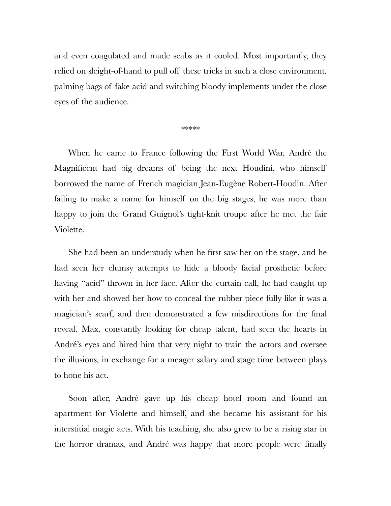and even coagulated and made scabs as it cooled. Most importantly, they relied on sleight-of-hand to pull off these tricks in such a close environment, palming bags of fake acid and switching bloody implements under the close eyes of the audience.

\*\*\*\*\*

When he came to France following the First World War, André the Magnificent had big dreams of being the next Houdini, who himself borrowed the name of French magician Jean-Eugène Robert-Houdin. After failing to make a name for himself on the big stages, he was more than happy to join the Grand Guignol's tight-knit troupe after he met the fair Violette.

She had been an understudy when he first saw her on the stage, and he had seen her clumsy attempts to hide a bloody facial prosthetic before having "acid" thrown in her face. After the curtain call, he had caught up with her and showed her how to conceal the rubber piece fully like it was a magician's scarf, and then demonstrated a few misdirections for the final reveal. Max, constantly looking for cheap talent, had seen the hearts in André's eyes and hired him that very night to train the actors and oversee the illusions, in exchange for a meager salary and stage time between plays to hone his act.

Soon after, André gave up his cheap hotel room and found an apartment for Violette and himself, and she became his assistant for his interstitial magic acts. With his teaching, she also grew to be a rising star in the horror dramas, and André was happy that more people were finally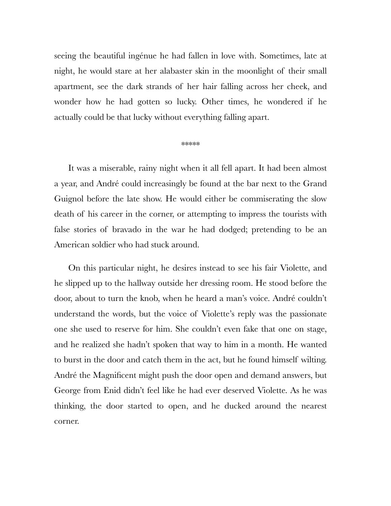seeing the beautiful ingénue he had fallen in love with. Sometimes, late at night, he would stare at her alabaster skin in the moonlight of their small apartment, see the dark strands of her hair falling across her cheek, and wonder how he had gotten so lucky. Other times, he wondered if he actually could be that lucky without everything falling apart.

## \*\*\*\*\*

It was a miserable, rainy night when it all fell apart. It had been almost a year, and André could increasingly be found at the bar next to the Grand Guignol before the late show. He would either be commiserating the slow death of his career in the corner, or attempting to impress the tourists with false stories of bravado in the war he had dodged; pretending to be an American soldier who had stuck around.

On this particular night, he desires instead to see his fair Violette, and he slipped up to the hallway outside her dressing room. He stood before the door, about to turn the knob, when he heard a man's voice. André couldn't understand the words, but the voice of Violette's reply was the passionate one she used to reserve for him. She couldn't even fake that one on stage, and he realized she hadn't spoken that way to him in a month. He wanted to burst in the door and catch them in the act, but he found himself wilting. André the Magnificent might push the door open and demand answers, but George from Enid didn't feel like he had ever deserved Violette. As he was thinking, the door started to open, and he ducked around the nearest corner.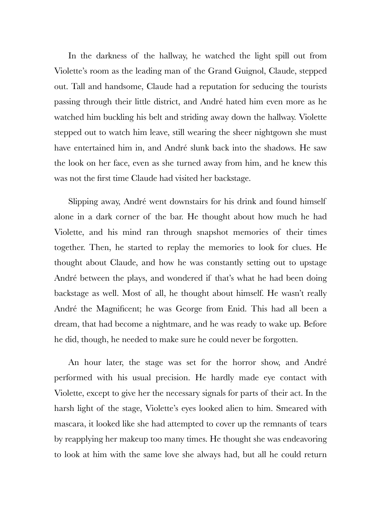In the darkness of the hallway, he watched the light spill out from Violette's room as the leading man of the Grand Guignol, Claude, stepped out. Tall and handsome, Claude had a reputation for seducing the tourists passing through their little district, and André hated him even more as he watched him buckling his belt and striding away down the hallway. Violette stepped out to watch him leave, still wearing the sheer nightgown she must have entertained him in, and André slunk back into the shadows. He saw the look on her face, even as she turned away from him, and he knew this was not the first time Claude had visited her backstage.

Slipping away, André went downstairs for his drink and found himself alone in a dark corner of the bar. He thought about how much he had Violette, and his mind ran through snapshot memories of their times together. Then, he started to replay the memories to look for clues. He thought about Claude, and how he was constantly setting out to upstage André between the plays, and wondered if that's what he had been doing backstage as well. Most of all, he thought about himself. He wasn't really André the Magnificent; he was George from Enid. This had all been a dream, that had become a nightmare, and he was ready to wake up. Before he did, though, he needed to make sure he could never be forgotten.

An hour later, the stage was set for the horror show, and André performed with his usual precision. He hardly made eye contact with Violette, except to give her the necessary signals for parts of their act. In the harsh light of the stage, Violette's eyes looked alien to him. Smeared with mascara, it looked like she had attempted to cover up the remnants of tears by reapplying her makeup too many times. He thought she was endeavoring to look at him with the same love she always had, but all he could return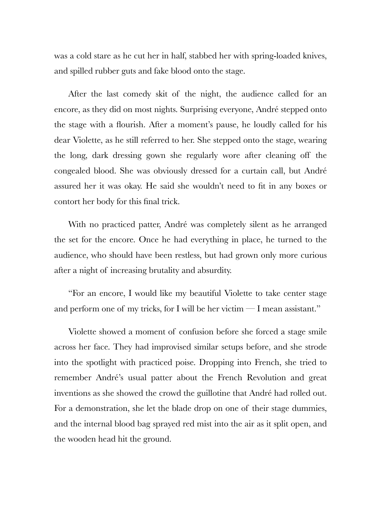was a cold stare as he cut her in half, stabbed her with spring-loaded knives, and spilled rubber guts and fake blood onto the stage.

After the last comedy skit of the night, the audience called for an encore, as they did on most nights. Surprising everyone, André stepped onto the stage with a flourish. After a moment's pause, he loudly called for his dear Violette, as he still referred to her. She stepped onto the stage, wearing the long, dark dressing gown she regularly wore after cleaning off the congealed blood. She was obviously dressed for a curtain call, but André assured her it was okay. He said she wouldn't need to fit in any boxes or contort her body for this final trick.

With no practiced patter, André was completely silent as he arranged the set for the encore. Once he had everything in place, he turned to the audience, who should have been restless, but had grown only more curious after a night of increasing brutality and absurdity.

"For an encore, I would like my beautiful Violette to take center stage and perform one of my tricks, for I will be her victim  $-I$  mean assistant."

Violette showed a moment of confusion before she forced a stage smile across her face. They had improvised similar setups before, and she strode into the spotlight with practiced poise. Dropping into French, she tried to remember André's usual patter about the French Revolution and great inventions as she showed the crowd the guillotine that André had rolled out. For a demonstration, she let the blade drop on one of their stage dummies, and the internal blood bag sprayed red mist into the air as it split open, and the wooden head hit the ground.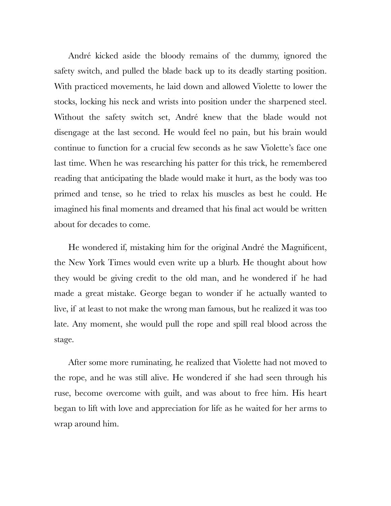André kicked aside the bloody remains of the dummy, ignored the safety switch, and pulled the blade back up to its deadly starting position. With practiced movements, he laid down and allowed Violette to lower the stocks, locking his neck and wrists into position under the sharpened steel. Without the safety switch set, André knew that the blade would not disengage at the last second. He would feel no pain, but his brain would continue to function for a crucial few seconds as he saw Violette's face one last time. When he was researching his patter for this trick, he remembered reading that anticipating the blade would make it hurt, as the body was too primed and tense, so he tried to relax his muscles as best he could. He imagined his final moments and dreamed that his final act would be written about for decades to come.

He wondered if, mistaking him for the original André the Magnificent, the New York Times would even write up a blurb. He thought about how they would be giving credit to the old man, and he wondered if he had made a great mistake. George began to wonder if he actually wanted to live, if at least to not make the wrong man famous, but he realized it was too late. Any moment, she would pull the rope and spill real blood across the stage.

After some more ruminating, he realized that Violette had not moved to the rope, and he was still alive. He wondered if she had seen through his ruse, become overcome with guilt, and was about to free him. His heart began to lift with love and appreciation for life as he waited for her arms to wrap around him.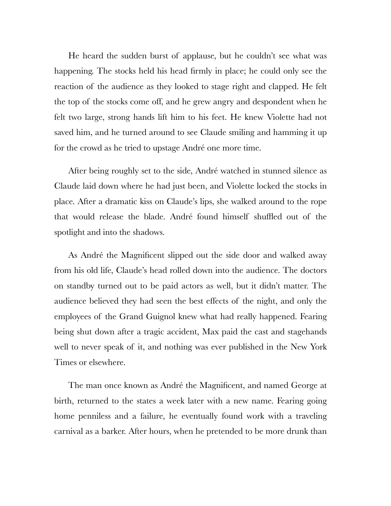He heard the sudden burst of applause, but he couldn't see what was happening. The stocks held his head firmly in place; he could only see the reaction of the audience as they looked to stage right and clapped. He felt the top of the stocks come off, and he grew angry and despondent when he felt two large, strong hands lift him to his feet. He knew Violette had not saved him, and he turned around to see Claude smiling and hamming it up for the crowd as he tried to upstage André one more time.

After being roughly set to the side, André watched in stunned silence as Claude laid down where he had just been, and Violette locked the stocks in place. After a dramatic kiss on Claude's lips, she walked around to the rope that would release the blade. André found himself shuffled out of the spotlight and into the shadows.

As André the Magnificent slipped out the side door and walked away from his old life, Claude's head rolled down into the audience. The doctors on standby turned out to be paid actors as well, but it didn't matter. The audience believed they had seen the best effects of the night, and only the employees of the Grand Guignol knew what had really happened. Fearing being shut down after a tragic accident, Max paid the cast and stagehands well to never speak of it, and nothing was ever published in the New York Times or elsewhere.

The man once known as André the Magnificent, and named George at birth, returned to the states a week later with a new name. Fearing going home penniless and a failure, he eventually found work with a traveling carnival as a barker. After hours, when he pretended to be more drunk than